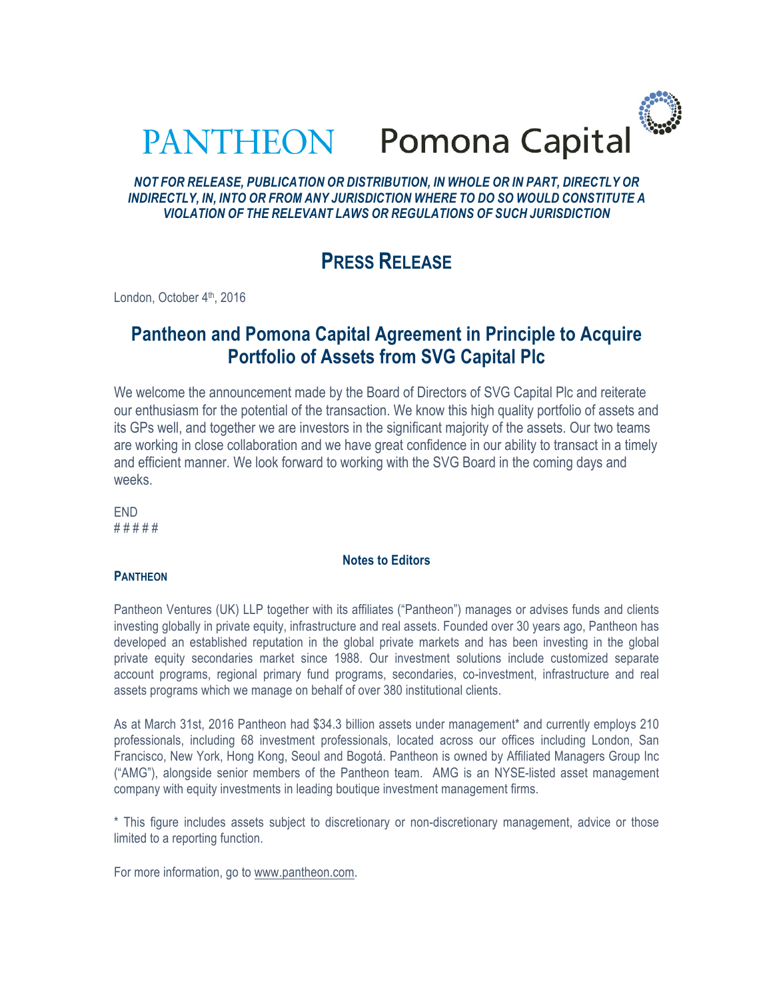| <b>PANTHEON</b> | Pomona Capital |
|-----------------|----------------|

# *NOT FOR RELEASE, PUBLICATION OR DISTRIBUTION, IN WHOLE OR IN PART, DIRECTLY OR INDIRECTLY, IN, INTO OR FROM ANY JURISDICTION WHERE TO DO SO WOULD CONSTITUTE A VIOLATION OF THE RELEVANT LAWS OR REGULATIONS OF SUCH JURISDICTION*

# **PRESS RELEASE**

London, October 4<sup>th</sup>, 2016

# **Pantheon and Pomona Capital Agreement in Principle to Acquire Portfolio of Assets from SVG Capital Plc**

We welcome the announcement made by the Board of Directors of SVG Capital Plc and reiterate our enthusiasm for the potential of the transaction. We know this high quality portfolio of assets and its GPs well, and together we are investors in the significant majority of the assets. Our two teams are working in close collaboration and we have great confidence in our ability to transact in a timely and efficient manner. We look forward to working with the SVG Board in the coming days and weeks.

END # # # # #

**PANTHEON** 

# Pantheon Ventures (UK) LLP together with its affiliates ("Pantheon") manages or advises funds and clients investing globally in private equity, infrastructure and real assets. Founded over 30 years ago, Pantheon has developed an established reputation in the global private markets and has been investing in the global private equity secondaries market since 1988. Our investment solutions include customized separate account programs, regional primary fund programs, secondaries, co-investment, infrastructure and real assets programs which we manage on behalf of over 380 institutional clients.

**Notes to Editors**

As at March 31st, 2016 Pantheon had \$34.3 billion assets under management\* and currently employs 210 professionals, including 68 investment professionals, located across our offices including London, San Francisco, New York, Hong Kong, Seoul and Bogotá. Pantheon is owned by Affiliated Managers Group Inc ("AMG"), alongside senior members of the Pantheon team. AMG is an NYSE-listed asset management company with equity investments in leading boutique investment management firms.

\* This figure includes assets subject to discretionary or non-discretionary management, advice or those limited to a reporting function.

For more information, go to www.pantheon.com.